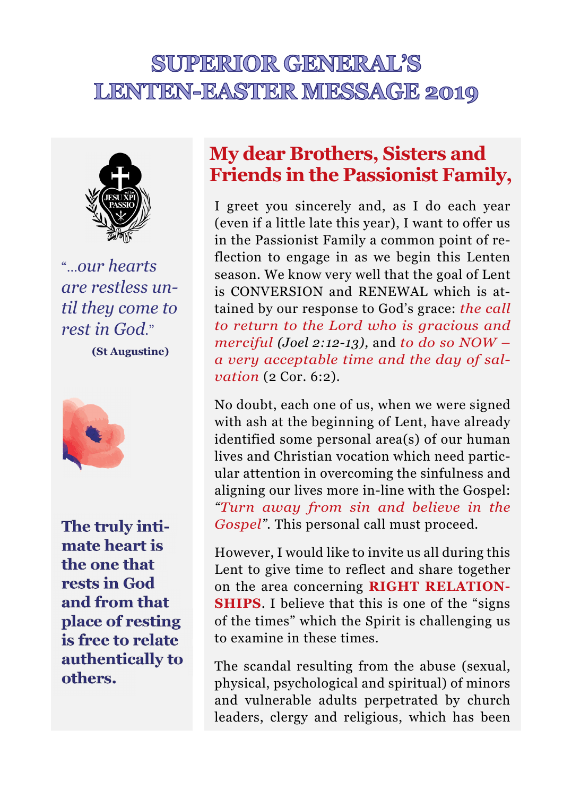## SUPERIOR GENERAL'S **LENTEN-EASTER MESSAGE 2019**



"…*our hearts are restless until they come to rest in God*."

**(St Augustine)**



**The truly intimate heart is the one that rests in God and from that place of resting is free to relate authentically to others.** 

## **My dear Brothers, Sisters and Friends in the Passionist Family,**

I greet you sincerely and, as I do each year (even if a little late this year), I want to offer us in the Passionist Family a common point of reflection to engage in as we begin this Lenten season. We know very well that the goal of Lent is CONVERSION and RENEWAL which is attained by our response to God's grace: *the call to return to the Lord who is gracious and merciful (Joel 2:12-13),* and *to do so NOW – a very acceptable time and the day of salvation* (2 Cor. 6:2).

No doubt, each one of us, when we were signed with ash at the beginning of Lent, have already identified some personal area(s) of our human lives and Christian vocation which need particular attention in overcoming the sinfulness and aligning our lives more in-line with the Gospel: *"Turn away from sin and believe in the Gospel*". This personal call must proceed.

However, I would like to invite us all during this Lent to give time to reflect and share together on the area concerning **RIGHT RELATION-SHIPS**. I believe that this is one of the "signs of the times" which the Spirit is challenging us to examine in these times.

The scandal resulting from the abuse (sexual, physical, psychological and spiritual) of minors and vulnerable adults perpetrated by church leaders, clergy and religious, which has been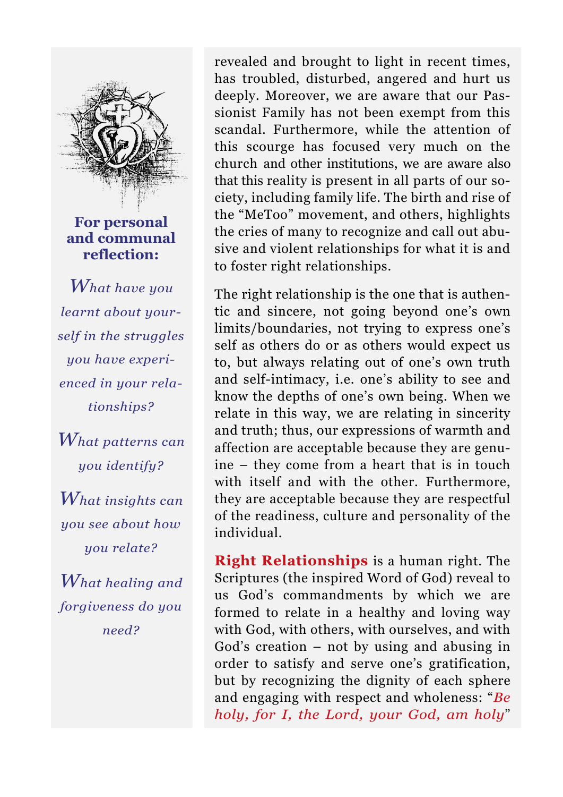

**For personal and communal reflection:** 

*What have you learnt about yourself in the struggles you have experienced in your relationships?* 

*What patterns can you identify?* 

*What insights can you see about how you relate?* 

*What healing and forgiveness do you need?* 

revealed and brought to light in recent times, has troubled, disturbed, angered and hurt us deeply. Moreover, we are aware that our Passionist Family has not been exempt from this scandal. Furthermore, while the attention of this scourge has focused very much on the church and other institutions, we are aware also that this reality is present in all parts of our society, including family life. The birth and rise of the "MeToo" movement, and others, highlights the cries of many to recognize and call out abusive and violent relationships for what it is and to foster right relationships.

The right relationship is the one that is authentic and sincere, not going beyond one's own limits/boundaries, not trying to express one's self as others do or as others would expect us to, but always relating out of one's own truth and self-intimacy, i.e. one's ability to see and know the depths of one's own being. When we relate in this way, we are relating in sincerity and truth; thus, our expressions of warmth and affection are acceptable because they are genuine – they come from a heart that is in touch with itself and with the other. Furthermore, they are acceptable because they are respectful of the readiness, culture and personality of the individual.

**Right Relationships** is a human right. The Scriptures (the inspired Word of God) reveal to us God's commandments by which we are formed to relate in a healthy and loving way with God, with others, with ourselves, and with God's creation – not by using and abusing in order to satisfy and serve one's gratification, but by recognizing the dignity of each sphere and engaging with respect and wholeness: "*Be holy, for I, the Lord, your God, am holy*"